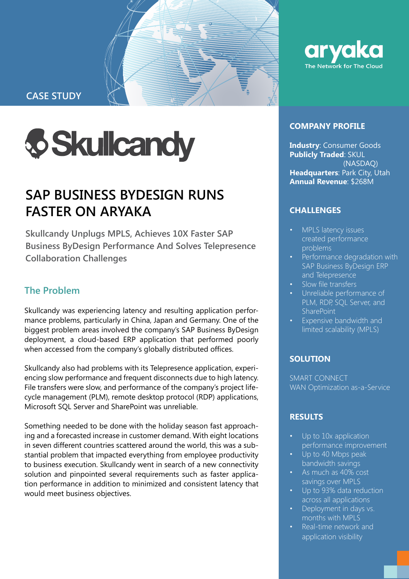

**CASE STUDY**



# **SAP BUSINESS BYDESIGN RUNS FASTER ON ARYAKA**

**Skullcandy Unplugs MPLS, Achieves 10X Faster SAP Business ByDesign Performance And Solves Telepresence Collaboration Challenges** 

# **The Problem**

Skullcandy was experiencing latency and resulting application performance problems, particularly in China, Japan and Germany. One of the biggest problem areas involved the company's SAP Business ByDesign deployment, a cloud-based ERP application that performed poorly when accessed from the company's globally distributed offices.

Skullcandy also had problems with its Telepresence application, experiencing slow performance and frequent disconnects due to high latency. File transfers were slow, and performance of the company's project lifecycle management (PLM), remote desktop protocol (RDP) applications, Microsoft SQL Server and SharePoint was unreliable.

Something needed to be done with the holiday season fast approaching and a forecasted increase in customer demand. With eight locations in seven different countries scattered around the world, this was a substantial problem that impacted everything from employee productivity to business execution. Skullcandy went in search of a new connectivity solution and pinpointed several requirements such as faster application performance in addition to minimized and consistent latency that would meet business objectives.



#### **COMPANY PROFILE**

**Industry**: Consumer Goods **Publicly Traded**: SKUL (NASDAQ) **Headquarters**: Park City, Utah **Annual Revenue**: \$268M

# **CHALLENGES**

- MPLS latency issues created performance problems
- Performance degradation with SAP Business ByDesign ERP and Telepresence
- Slow file transfers
- Unreliable performance of PLM, RDP, SQL Server, and **SharePoint**
- Expensive bandwidth and limited scalability (MPLS)

# **SOLUTION**

SMART CONNECT WAN Optimization as-a-Service

# **RESULTS**

- Up to 10x application performance improvement
- Up to 40 Mbps peak bandwidth savings
- As much as 40% cost savings over MPLS
- Up to 93% data reduction across all applications
- Deployment in days vs. months with MPLS
- Real-time network and application visibility

Confidential; Internal Use Only